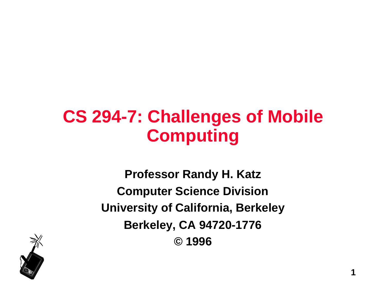## **CS 294-7: Challenges of Mobile Computing**

**Professor Randy H. Katz Computer Science Division University of California, Berkeley Berkeley, CA 94720-1776 © 1996**

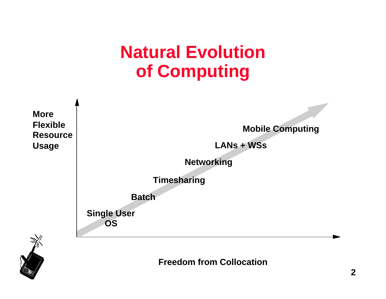## **Natural Evolution of Computing**





**Freedom from Collocation**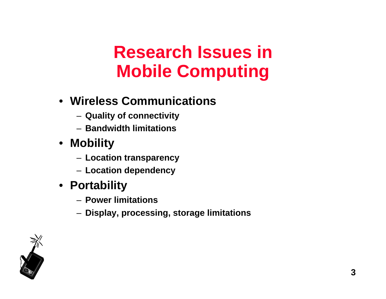# **Research Issues in Mobile Computing**

### • **Wireless Communications**

- **Quality of connectivity**
- **Bandwidth limitations**
- **Mobility**
	- **Location transparency**
	- **Location dependency**
- **Portability**
	- **Power limitations**
	- **Display, processing, storage limitations**

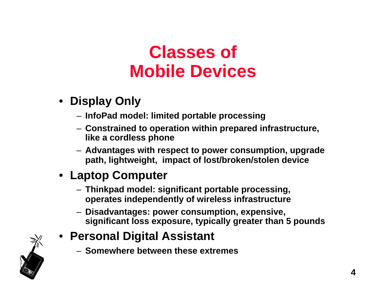# **Classes of Mobile Devices**

- **Display Only**
	- **InfoPad model: limited portable processing**
	- **Constrained to operation within prepared infrastructure, like a cordless phone**
	- **Advantages with respect to power consumption, upgrade path, lightweight, impact of lost/broken/stolen device**

### • **Laptop Computer**

- **Thinkpad model: significant portable processing, operates independently of wireless infrastructure**
- **Disadvantages: power consumption, expensive, significant loss exposure, typically greater than 5 pounds**
- **Personal Digital Assistant**
	- **Somewhere between these extremes**

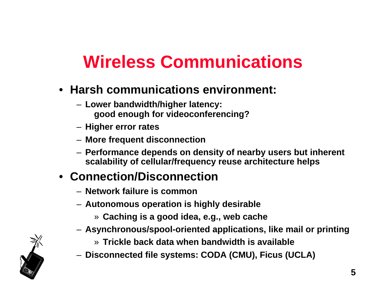# **Wireless Communications**

- **Harsh communications environment:**
	- **Lower bandwidth/higher latency: good enough for videoconferencing?**
	- **Higher error rates**
	- **More frequent disconnection**
	- **Performance depends on density of nearby users but inherent scalability of cellular/frequency reuse architecture helps**

### • **Connection/Disconnection**

- **Network failure is common**
- **Autonomous operation is highly desirable**
	- » **Caching is a good idea, e.g., web cache**
- **Asynchronous/spool-oriented applications, like mail or printing**
	- » **Trickle back data when bandwidth is available**
- **Disconnected file systems: CODA (CMU), Ficus (UCLA)**

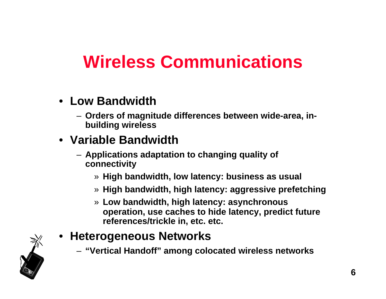# **Wireless Communications**

- **Low Bandwidth**
	- **Orders of magnitude differences between wide-area, inbuilding wireless**

### • **Variable Bandwidth**

- **Applications adaptation to changing quality of connectivity**
	- » **High bandwidth, low latency: business as usual**
	- » **High bandwidth, high latency: aggressive prefetching**
	- » **Low bandwidth, high latency: asynchronous operation, use caches to hide latency, predict future references/trickle in, etc. etc.**
- **Heterogeneous Networks**
	- **"Vertical Handoff" among colocated wireless networks**

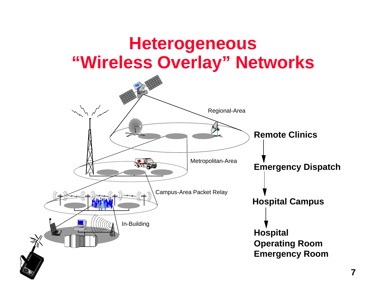### **Heterogeneous "Wireless Overlay" Networks**

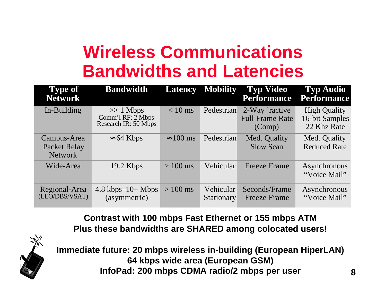# **Wireless Communications Bandwidths and Latencies**

| <b>Type of</b><br><b>Network</b>              | <b>Bandwidth</b>                                         | <b>Latency</b>   | <b>Mobility</b>                | <b>Typ Video</b><br><b>Performance</b>             | <b>Typ Audio</b><br><b>Performance</b>               |
|-----------------------------------------------|----------------------------------------------------------|------------------|--------------------------------|----------------------------------------------------|------------------------------------------------------|
| In-Building                                   | $>> 1$ Mbps<br>Comm'l RF: 2 Mbps<br>Research IR: 50 Mbps | $< 10$ ms        | Pedestrian                     | 2-Way 'ractive<br><b>Full Frame Rate</b><br>(Comp) | <b>High Quality</b><br>16-bit Samples<br>22 Khz Rate |
| Campus-Area<br>Packet Relay<br><b>Network</b> | 64 Kbps                                                  | $100 \text{ ms}$ | Pedestrian                     | Med. Quality<br><b>Slow Scan</b>                   | Med. Quality<br><b>Reduced Rate</b>                  |
| Wide-Area                                     | $19.2$ Kbps                                              | $>100$ ms        | Vehicular                      | <b>Freeze Frame</b>                                | Asynchronous<br>"Voice Mail"                         |
| Regional-Area<br>(LEO/DBS/VSAT)               | $4.8 \text{ kbps}-10+ \text{Mbps}$<br>(asymmetric)       | $>100$ ms        | Vehicular<br><b>Stationary</b> | Seconds/Frame<br><b>Freeze Frame</b>               | Asynchronous<br>"Voice Mail"                         |

**Contrast with 100 mbps Fast Ethernet or 155 mbps ATM Plus these bandwidths are SHARED among colocated users!**



**Immediate future: 20 mbps wireless in-building (European HiperLAN) 64 kbps wide area (European GSM) InfoPad: 200 mbps CDMA radio/2 mbps per user**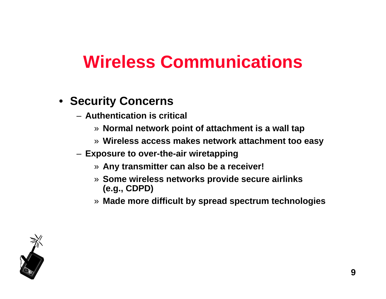# **Wireless Communications**

#### • **Security Concerns**

- **Authentication is critical**
	- » **Normal network point of attachment is a wall tap**
	- » **Wireless access makes network attachment too easy**
- **Exposure to over-the-air wiretapping**
	- » **Any transmitter can also be a receiver!**
	- » **Some wireless networks provide secure airlinks (e.g., CDPD)**
	- » **Made more difficult by spread spectrum technologies**

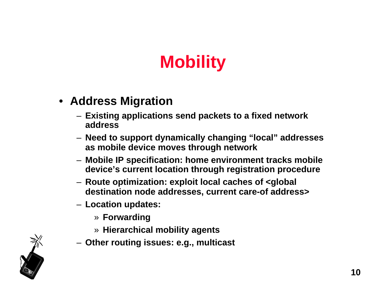# **Mobility**

- **Address Migration**
	- **Existing applications send packets to a fixed network address**
	- **Need to support dynamically changing "local" addresses as mobile device moves through network**
	- **Mobile IP specification: home environment tracks mobile device's current location through registration procedure**
	- **Route optimization: exploit local caches of <global destination node addresses, current care-of address>**
	- **Location updates:**
		- » **Forwarding**
		- » **Hierarchical mobility agents**
	- **Other routing issues: e.g., multicast**

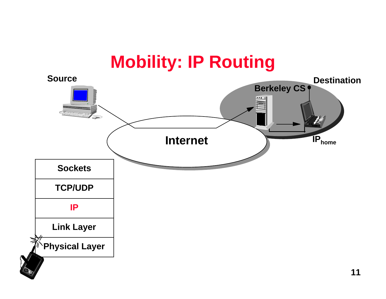### **Mobility: IP Routing**

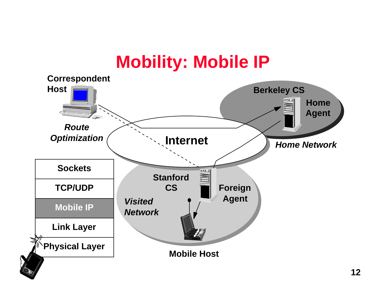## **Mobility: Mobile IP**

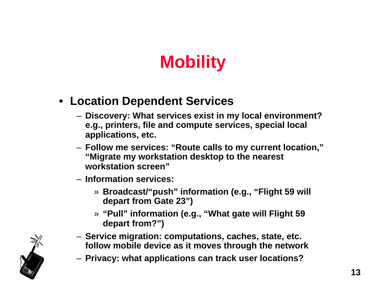# **Mobility**

- **Location Dependent Services**
	- **Discovery: What services exist in my local environment? e.g., printers, file and compute services, special local applications, etc.**
	- **Follow me services: "Route calls to my current location," "Migrate my workstation desktop to the nearest workstation screen"**
	- **Information services:** 
		- » **Broadcast/"push" information (e.g., "Flight 59 will depart from Gate 23")**
		- » **"Pull" information (e.g., "What gate will Flight 59 depart from?")**
	- **Service migration: computations, caches, state, etc. follow mobile device as it moves through the network**
	- **Privacy: what applications can track user locations?**

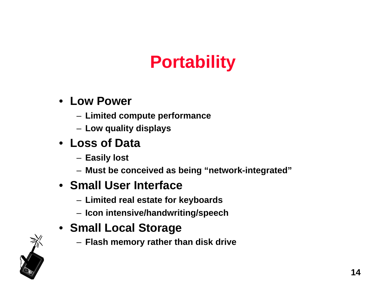# **Portability**

### • **Low Power**

- **Limited compute performance**
- **Low quality displays**

### • **Loss of Data**

- **Easily lost**
- **Must be conceived as being "network-integrated"**

#### • **Small User Interface**

- **Limited real estate for keyboards**
- **Icon intensive/handwriting/speech**

### • **Small Local Storage**

– **Flash memory rather than disk drive**

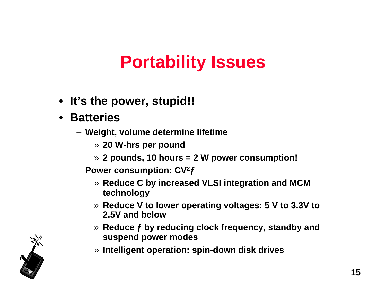# **Portability Issues**

- **It's the power, stupid!!**
- **Batteries**
	- **Weight, volume determine lifetime**
		- » **20 W-hrs per pound**
		- » **2 pounds, 10 hours = 2 W power consumption!**
	- **Power consumption: CV<sup>2</sup>ƒ**
		- » **Reduce C by increased VLSI integration and MCM technology**
		- » **Reduce V to lower operating voltages: 5 V to 3.3V to 2.5V and below**
		- » **Reduce ƒ by reducing clock frequency, standby and suspend power modes**
		- » **Intelligent operation: spin-down disk drives**

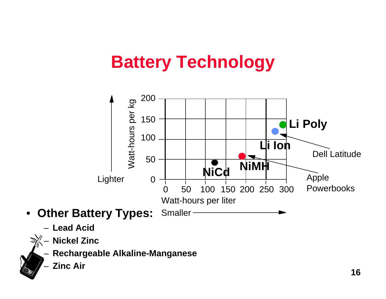# **Battery Technology**



– **Lead Acid**



– **Nickel Zinc**

– **Rechargeable Alkaline-Manganese**

– **Zinc Air**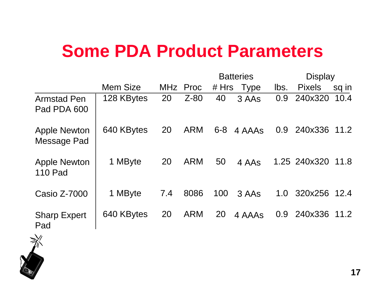## **Some PDA Product Parameters**

|                                       |            |     |            |         | <b>Batteries</b> |      | <b>Display</b> |       |
|---------------------------------------|------------|-----|------------|---------|------------------|------|----------------|-------|
|                                       | Mem Size   |     | MHz Proc   |         | # Hrs Type       | lbs. | <b>Pixels</b>  | sq in |
| <b>Armstad Pen</b><br>Pad PDA 600     | 128 KBytes | 20  | $Z-80$     | 40      | 3 AAs            | 0.9  | 240x320        | 10.4  |
| <b>Apple Newton</b><br>Message Pad    | 640 KBytes | 20  | <b>ARM</b> | $6 - 8$ | 4 AAAs           | 0.9  | 240x336        | 11.2  |
| <b>Apple Newton</b><br><b>110 Pad</b> | 1 MByte    | 20  | <b>ARM</b> | 50      | 4 AAs            |      | 1.25 240x320   | 11.8  |
| Casio Z-7000                          | 1 MByte    | 7.4 | 8086       | 100     | 3 AAs            | 1.0  | 320x256        | 12.4  |
| <b>Sharp Expert</b><br>Pad            | 640 KBytes | 20  | <b>ARM</b> | 20      | 4 AAAs           | 0.9  | 240x336        | 11.2  |

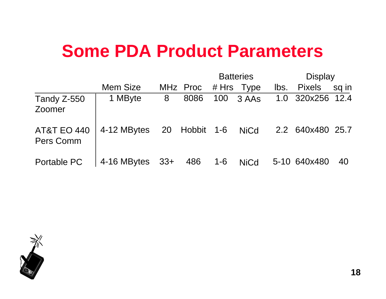## **Some PDA Product Parameters**

|                                     |             |       |               |     | <b>Batteries</b> |      | <b>Display</b>   |       |
|-------------------------------------|-------------|-------|---------------|-----|------------------|------|------------------|-------|
|                                     | Mem Size    |       | MHz Proc      |     | # Hrs Type       | lbs. | <b>Pixels</b>    | sq in |
| Tandy Z-550<br>Zoomer               | 1 MByte     | 8     | 8086          |     | 100 3 AAs        |      | 1.0 320x256 12.4 |       |
| <b>AT&amp;T EO 440</b><br>Pers Comm | 4-12 MBytes |       | 20 Hobbit 1-6 |     | <b>NiCd</b>      |      | 2.2 640x480 25.7 |       |
| Portable PC                         | 4-16 MBytes | $33+$ | 486           | 1-6 | <b>NiCd</b>      |      | 5-10 640x480     | 40    |

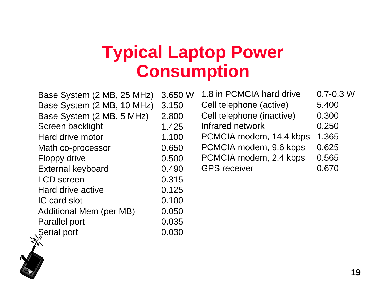## **Typical Laptop Power Consumption**

| Base System (2 MB, 25 MHz) | 3.650 W | 1.8 in PCMCIA hard drive  | $0.7 - 0.3$ W |
|----------------------------|---------|---------------------------|---------------|
| Base System (2 MB, 10 MHz) | 3.150   | Cell telephone (active)   | 5.400         |
| Base System (2 MB, 5 MHz)  | 2.800   | Cell telephone (inactive) | 0.300         |
| Screen backlight           | 1.425   | Infrared network          | 0.250         |
| Hard drive motor           | 1.100   | PCMCIA modem, 14.4 kbps   | 1.365         |
| Math co-processor          | 0.650   | PCMCIA modem, 9.6 kbps    | 0.625         |
| Floppy drive               | 0.500   | PCMCIA modem, 2.4 kbps    | 0.565         |
| <b>External keyboard</b>   | 0.490   | <b>GPS</b> receiver       | 0.670         |
| <b>LCD</b> screen          | 0.315   |                           |               |
| Hard drive active          | 0.125   |                           |               |
| IC card slot               | 0.100   |                           |               |
| Additional Mem (per MB)    | 0.050   |                           |               |
| <b>Parallel port</b>       | 0.035   |                           |               |
| Serial port                | 0.030   |                           |               |

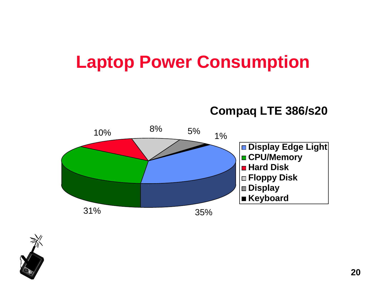## **Laptop Power Consumption**

**Compaq LTE 386/s20**



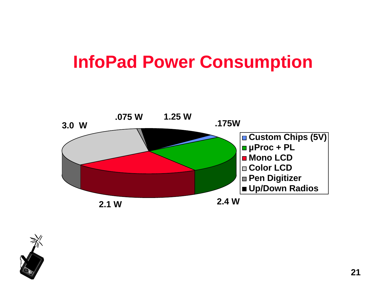## **InfoPad Power Consumption**



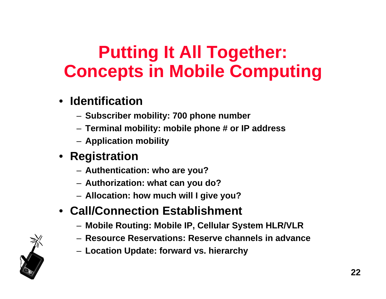# **Putting It All Together: Concepts in Mobile Computing**

- **Identification**
	- **Subscriber mobility: 700 phone number**
	- **Terminal mobility: mobile phone # or IP address**
	- **Application mobility**

### • **Registration**

- **Authentication: who are you?**
- **Authorization: what can you do?**
- **Allocation: how much will I give you?**

### • **Call/Connection Establishment**

- **Mobile Routing: Mobile IP, Cellular System HLR/VLR**
- **Resource Reservations: Reserve channels in advance**
- **Location Update: forward vs. hierarchy**